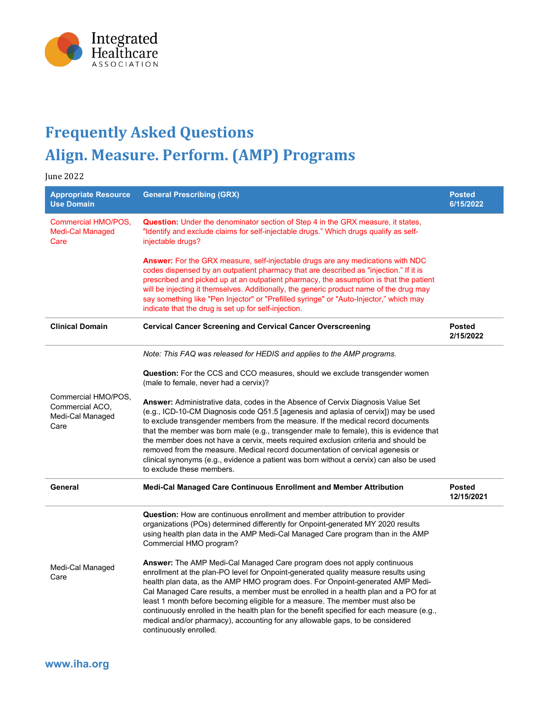

## **Frequently Asked Questions Align. Measure. Perform. (AMP) Programs**

June 2022

| <b>Appropriate Resource</b><br><b>Use Domain</b>                   | <b>General Prescribing (GRX)</b>                                                                                                                                                                                                                                                                                                                                                                                                                                                                                                                                                                                                                      | <b>Posted</b><br>6/15/2022  |
|--------------------------------------------------------------------|-------------------------------------------------------------------------------------------------------------------------------------------------------------------------------------------------------------------------------------------------------------------------------------------------------------------------------------------------------------------------------------------------------------------------------------------------------------------------------------------------------------------------------------------------------------------------------------------------------------------------------------------------------|-----------------------------|
| <b>Commercial HMO/POS,</b><br><b>Medi-Cal Managed</b><br>Care      | <b>Question:</b> Under the denominator section of Step 4 in the GRX measure, it states,<br>"Identify and exclude claims for self-injectable drugs." Which drugs qualify as self-<br>injectable drugs?                                                                                                                                                                                                                                                                                                                                                                                                                                                 |                             |
|                                                                    | <b>Answer:</b> For the GRX measure, self-injectable drugs are any medications with NDC<br>codes dispensed by an outpatient pharmacy that are described as "injection." If it is<br>prescribed and picked up at an outpatient pharmacy, the assumption is that the patient<br>will be injecting it themselves. Additionally, the generic product name of the drug may<br>say something like "Pen Injector" or "Prefilled syringe" or "Auto-Injector," which may<br>indicate that the drug is set up for self-injection.                                                                                                                                |                             |
| <b>Clinical Domain</b>                                             | <b>Cervical Cancer Screening and Cervical Cancer Overscreening</b>                                                                                                                                                                                                                                                                                                                                                                                                                                                                                                                                                                                    | <b>Posted</b><br>2/15/2022  |
|                                                                    | Note: This FAQ was released for HEDIS and applies to the AMP programs.                                                                                                                                                                                                                                                                                                                                                                                                                                                                                                                                                                                |                             |
|                                                                    | <b>Question:</b> For the CCS and CCO measures, should we exclude transgender women<br>(male to female, never had a cervix)?                                                                                                                                                                                                                                                                                                                                                                                                                                                                                                                           |                             |
| Commercial HMO/POS,<br>Commercial ACO.<br>Medi-Cal Managed<br>Care | Answer: Administrative data, codes in the Absence of Cervix Diagnosis Value Set<br>(e.g., ICD-10-CM Diagnosis code Q51.5 [agenesis and aplasia of cervix]) may be used<br>to exclude transgender members from the measure. If the medical record documents<br>that the member was born male (e.g., transgender male to female), this is evidence that<br>the member does not have a cervix, meets required exclusion criteria and should be<br>removed from the measure. Medical record documentation of cervical agenesis or<br>clinical synonyms (e.g., evidence a patient was born without a cervix) can also be used<br>to exclude these members. |                             |
| General                                                            | Medi-Cal Managed Care Continuous Enrollment and Member Attribution                                                                                                                                                                                                                                                                                                                                                                                                                                                                                                                                                                                    | <b>Posted</b><br>12/15/2021 |
|                                                                    | Question: How are continuous enrollment and member attribution to provider<br>organizations (POs) determined differently for Onpoint-generated MY 2020 results<br>using health plan data in the AMP Medi-Cal Managed Care program than in the AMP<br>Commercial HMO program?                                                                                                                                                                                                                                                                                                                                                                          |                             |
| Medi-Cal Managed<br>Care                                           | <b>Answer:</b> The AMP Medi-Cal Managed Care program does not apply continuous<br>enrollment at the plan-PO level for Onpoint-generated quality measure results using<br>health plan data, as the AMP HMO program does. For Onpoint-generated AMP Medi-<br>Cal Managed Care results, a member must be enrolled in a health plan and a PO for at<br>least 1 month before becoming eligible for a measure. The member must also be<br>continuously enrolled in the health plan for the benefit specified for each measure (e.g.,<br>medical and/or pharmacy), accounting for any allowable gaps, to be considered<br>continuously enrolled.             |                             |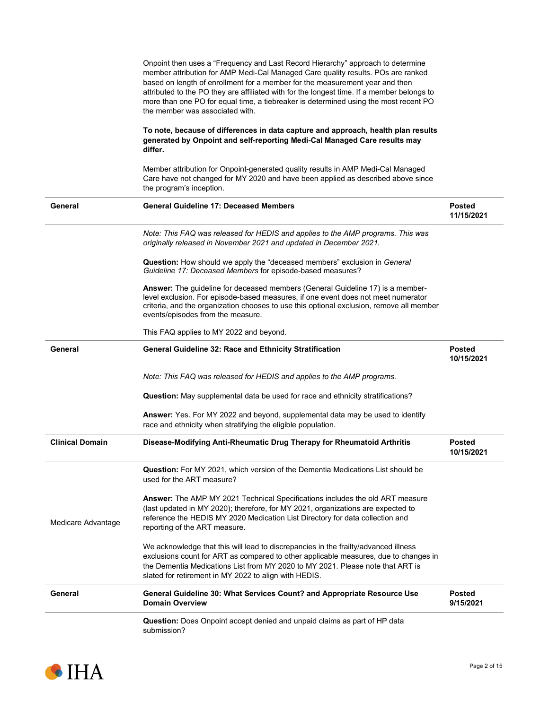|                        | Question: Does Onpoint accept denied and unpaid claims as part of HP data<br>submission?                                                                                                                                                                                                                                                                                                                                                                                     |                             |
|------------------------|------------------------------------------------------------------------------------------------------------------------------------------------------------------------------------------------------------------------------------------------------------------------------------------------------------------------------------------------------------------------------------------------------------------------------------------------------------------------------|-----------------------------|
| General                | General Guideline 30: What Services Count? and Appropriate Resource Use<br><b>Domain Overview</b>                                                                                                                                                                                                                                                                                                                                                                            | <b>Posted</b><br>9/15/2021  |
|                        | We acknowledge that this will lead to discrepancies in the frailty/advanced illness<br>exclusions count for ART as compared to other applicable measures, due to changes in<br>the Dementia Medications List from MY 2020 to MY 2021. Please note that ART is<br>slated for retirement in MY 2022 to align with HEDIS.                                                                                                                                                       |                             |
| Medicare Advantage     | Answer: The AMP MY 2021 Technical Specifications includes the old ART measure<br>(last updated in MY 2020); therefore, for MY 2021, organizations are expected to<br>reference the HEDIS MY 2020 Medication List Directory for data collection and<br>reporting of the ART measure.                                                                                                                                                                                          |                             |
|                        | <b>Question:</b> For MY 2021, which version of the Dementia Medications List should be<br>used for the ART measure?                                                                                                                                                                                                                                                                                                                                                          |                             |
| <b>Clinical Domain</b> | Disease-Modifying Anti-Rheumatic Drug Therapy for Rheumatoid Arthritis                                                                                                                                                                                                                                                                                                                                                                                                       | <b>Posted</b><br>10/15/2021 |
|                        | Answer: Yes. For MY 2022 and beyond, supplemental data may be used to identify<br>race and ethnicity when stratifying the eligible population.                                                                                                                                                                                                                                                                                                                               |                             |
|                        | <b>Question:</b> May supplemental data be used for race and ethnicity stratifications?                                                                                                                                                                                                                                                                                                                                                                                       |                             |
|                        | Note: This FAQ was released for HEDIS and applies to the AMP programs.                                                                                                                                                                                                                                                                                                                                                                                                       |                             |
| General                | General Guideline 32: Race and Ethnicity Stratification                                                                                                                                                                                                                                                                                                                                                                                                                      | <b>Posted</b><br>10/15/2021 |
|                        | This FAQ applies to MY 2022 and beyond.                                                                                                                                                                                                                                                                                                                                                                                                                                      |                             |
|                        | Answer: The guideline for deceased members (General Guideline 17) is a member-<br>level exclusion. For episode-based measures, if one event does not meet numerator<br>criteria, and the organization chooses to use this optional exclusion, remove all member<br>events/episodes from the measure.                                                                                                                                                                         |                             |
|                        | <b>Question:</b> How should we apply the "deceased members" exclusion in <i>General</i><br>Guideline 17: Deceased Members for episode-based measures?                                                                                                                                                                                                                                                                                                                        |                             |
|                        | Note: This FAQ was released for HEDIS and applies to the AMP programs. This was<br>originally released in November 2021 and updated in December 2021.                                                                                                                                                                                                                                                                                                                        |                             |
| General                | <b>General Guideline 17: Deceased Members</b>                                                                                                                                                                                                                                                                                                                                                                                                                                | <b>Posted</b><br>11/15/2021 |
|                        | Member attribution for Onpoint-generated quality results in AMP Medi-Cal Managed<br>Care have not changed for MY 2020 and have been applied as described above since<br>the program's inception.                                                                                                                                                                                                                                                                             |                             |
|                        | To note, because of differences in data capture and approach, health plan results<br>generated by Onpoint and self-reporting Medi-Cal Managed Care results may<br>differ.                                                                                                                                                                                                                                                                                                    |                             |
|                        | Onpoint then uses a "Frequency and Last Record Hierarchy" approach to determine<br>member attribution for AMP Medi-Cal Managed Care quality results. POs are ranked<br>based on length of enrollment for a member for the measurement year and then<br>attributed to the PO they are affiliated with for the longest time. If a member belongs to<br>more than one PO for equal time, a tiebreaker is determined using the most recent PO<br>the member was associated with. |                             |

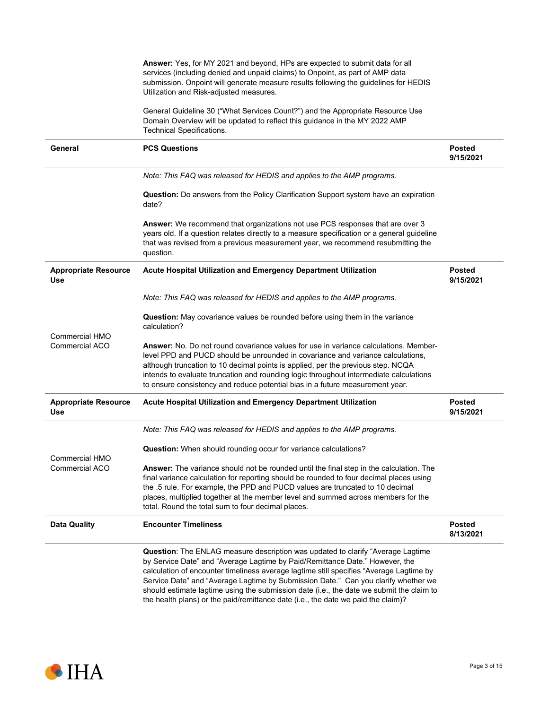|                                                | Answer: Yes, for MY 2021 and beyond, HPs are expected to submit data for all<br>services (including denied and unpaid claims) to Onpoint, as part of AMP data<br>submission. Onpoint will generate measure results following the guidelines for HEDIS<br>Utilization and Risk-adjusted measures.                                                                                                                                                                                                                                  |                            |
|------------------------------------------------|-----------------------------------------------------------------------------------------------------------------------------------------------------------------------------------------------------------------------------------------------------------------------------------------------------------------------------------------------------------------------------------------------------------------------------------------------------------------------------------------------------------------------------------|----------------------------|
|                                                | General Guideline 30 ("What Services Count?") and the Appropriate Resource Use<br>Domain Overview will be updated to reflect this guidance in the MY 2022 AMP<br>Technical Specifications.                                                                                                                                                                                                                                                                                                                                        |                            |
| General                                        | <b>PCS Questions</b>                                                                                                                                                                                                                                                                                                                                                                                                                                                                                                              | <b>Posted</b><br>9/15/2021 |
|                                                | Note: This FAQ was released for HEDIS and applies to the AMP programs.                                                                                                                                                                                                                                                                                                                                                                                                                                                            |                            |
|                                                | <b>Question:</b> Do answers from the Policy Clarification Support system have an expiration<br>date?                                                                                                                                                                                                                                                                                                                                                                                                                              |                            |
|                                                | Answer: We recommend that organizations not use PCS responses that are over 3<br>years old. If a question relates directly to a measure specification or a general guideline<br>that was revised from a previous measurement year, we recommend resubmitting the<br>question.                                                                                                                                                                                                                                                     |                            |
| <b>Appropriate Resource</b><br>Use             | Acute Hospital Utilization and Emergency Department Utilization                                                                                                                                                                                                                                                                                                                                                                                                                                                                   | <b>Posted</b><br>9/15/2021 |
|                                                | Note: This FAQ was released for HEDIS and applies to the AMP programs.                                                                                                                                                                                                                                                                                                                                                                                                                                                            |                            |
|                                                | <b>Question:</b> May covariance values be rounded before using them in the variance<br>calculation?                                                                                                                                                                                                                                                                                                                                                                                                                               |                            |
| <b>Commercial HMO</b><br>Commercial ACO        | Answer: No. Do not round covariance values for use in variance calculations. Member-<br>level PPD and PUCD should be unrounded in covariance and variance calculations,<br>although truncation to 10 decimal points is applied, per the previous step. NCQA<br>intends to evaluate truncation and rounding logic throughout intermediate calculations<br>to ensure consistency and reduce potential bias in a future measurement year.                                                                                            |                            |
| <b>Appropriate Resource</b><br>Use             | Acute Hospital Utilization and Emergency Department Utilization                                                                                                                                                                                                                                                                                                                                                                                                                                                                   | <b>Posted</b><br>9/15/2021 |
|                                                | Note: This FAQ was released for HEDIS and applies to the AMP programs.                                                                                                                                                                                                                                                                                                                                                                                                                                                            |                            |
|                                                | Question: When should rounding occur for variance calculations?                                                                                                                                                                                                                                                                                                                                                                                                                                                                   |                            |
| <b>Commercial HMO</b><br><b>Commercial ACO</b> | Answer: The variance should not be rounded until the final step in the calculation. The<br>final variance calculation for reporting should be rounded to four decimal places using<br>the .5 rule. For example, the PPD and PUCD values are truncated to 10 decimal<br>places, multiplied together at the member level and summed across members for the<br>total. Round the total sum to four decimal places.                                                                                                                    |                            |
| <b>Data Quality</b>                            | <b>Encounter Timeliness</b>                                                                                                                                                                                                                                                                                                                                                                                                                                                                                                       | <b>Posted</b><br>8/13/2021 |
|                                                | Question: The ENLAG measure description was updated to clarify "Average Lagtime<br>by Service Date" and "Average Lagtime by Paid/Remittance Date." However, the<br>calculation of encounter timeliness average lagtime still specifies "Average Lagtime by<br>Service Date" and "Average Lagtime by Submission Date." Can you clarify whether we<br>should estimate lagtime using the submission date (i.e., the date we submit the claim to<br>the health plans) or the paid/remittance date (i.e., the date we paid the claim)? |                            |

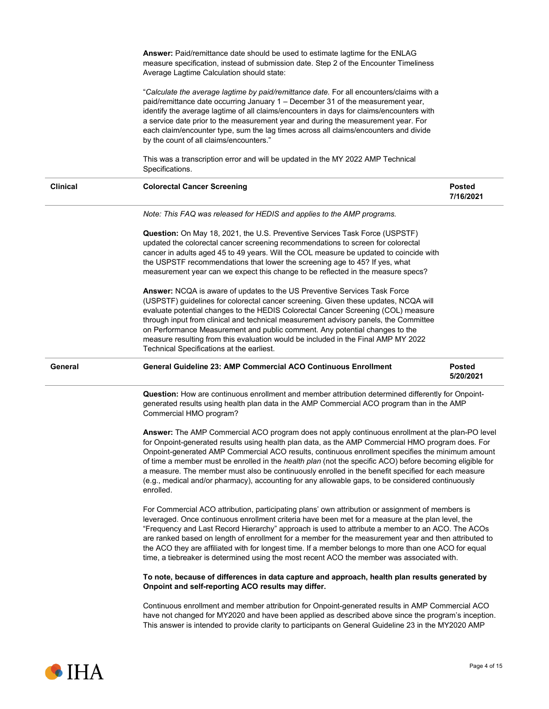|                 | Answer: Paid/remittance date should be used to estimate lagtime for the ENLAG<br>measure specification, instead of submission date. Step 2 of the Encounter Timeliness<br>Average Lagtime Calculation should state:                                                                                                                                                                                                                                                                                                                                                                                                       |                            |
|-----------------|---------------------------------------------------------------------------------------------------------------------------------------------------------------------------------------------------------------------------------------------------------------------------------------------------------------------------------------------------------------------------------------------------------------------------------------------------------------------------------------------------------------------------------------------------------------------------------------------------------------------------|----------------------------|
|                 | "Calculate the average lagtime by paid/remittance date. For all encounters/claims with a<br>paid/remittance date occurring January 1 - December 31 of the measurement year,<br>identify the average lagtime of all claims/encounters in days for claims/encounters with<br>a service date prior to the measurement year and during the measurement year. For<br>each claim/encounter type, sum the lag times across all claims/encounters and divide<br>by the count of all claims/encounters."                                                                                                                           |                            |
|                 | This was a transcription error and will be updated in the MY 2022 AMP Technical<br>Specifications.                                                                                                                                                                                                                                                                                                                                                                                                                                                                                                                        |                            |
| <b>Clinical</b> | <b>Colorectal Cancer Screening</b>                                                                                                                                                                                                                                                                                                                                                                                                                                                                                                                                                                                        | <b>Posted</b><br>7/16/2021 |
|                 | Note: This FAQ was released for HEDIS and applies to the AMP programs.                                                                                                                                                                                                                                                                                                                                                                                                                                                                                                                                                    |                            |
|                 | Question: On May 18, 2021, the U.S. Preventive Services Task Force (USPSTF)<br>updated the colorectal cancer screening recommendations to screen for colorectal<br>cancer in adults aged 45 to 49 years. Will the COL measure be updated to coincide with<br>the USPSTF recommendations that lower the screening age to 45? If yes, what<br>measurement year can we expect this change to be reflected in the measure specs?                                                                                                                                                                                              |                            |
|                 | Answer: NCQA is aware of updates to the US Preventive Services Task Force<br>(USPSTF) guidelines for colorectal cancer screening. Given these updates, NCQA will<br>evaluate potential changes to the HEDIS Colorectal Cancer Screening (COL) measure<br>through input from clinical and technical measurement advisory panels, the Committee<br>on Performance Measurement and public comment. Any potential changes to the<br>measure resulting from this evaluation would be included in the Final AMP MY 2022<br>Technical Specifications at the earliest.                                                            |                            |
| General         | <b>General Guideline 23: AMP Commercial ACO Continuous Enrollment</b>                                                                                                                                                                                                                                                                                                                                                                                                                                                                                                                                                     | <b>Posted</b><br>5/20/2021 |
|                 | Question: How are continuous enrollment and member attribution determined differently for Onpoint-<br>generated results using health plan data in the AMP Commercial ACO program than in the AMP<br>Commercial HMO program?                                                                                                                                                                                                                                                                                                                                                                                               |                            |
|                 | Answer: The AMP Commercial ACO program does not apply continuous enrollment at the plan-PO level                                                                                                                                                                                                                                                                                                                                                                                                                                                                                                                          |                            |
|                 | for Onpoint-generated results using health plan data, as the AMP Commercial HMO program does. For<br>Onpoint-generated AMP Commercial ACO results, continuous enrollment specifies the minimum amount<br>of time a member must be enrolled in the <i>health plan</i> (not the specific ACO) before becoming eligible for<br>a measure. The member must also be continuously enrolled in the benefit specified for each measure<br>(e.g., medical and/or pharmacy), accounting for any allowable gaps, to be considered continuously<br>enrolled.                                                                          |                            |
|                 | For Commercial ACO attribution, participating plans' own attribution or assignment of members is<br>leveraged. Once continuous enrollment criteria have been met for a measure at the plan level, the<br>"Frequency and Last Record Hierarchy" approach is used to attribute a member to an ACO. The ACOs<br>are ranked based on length of enrollment for a member for the measurement year and then attributed to<br>the ACO they are affiliated with for longest time. If a member belongs to more than one ACO for equal<br>time, a tiebreaker is determined using the most recent ACO the member was associated with. |                            |
|                 | To note, because of differences in data capture and approach, health plan results generated by<br>Onpoint and self-reporting ACO results may differ.                                                                                                                                                                                                                                                                                                                                                                                                                                                                      |                            |

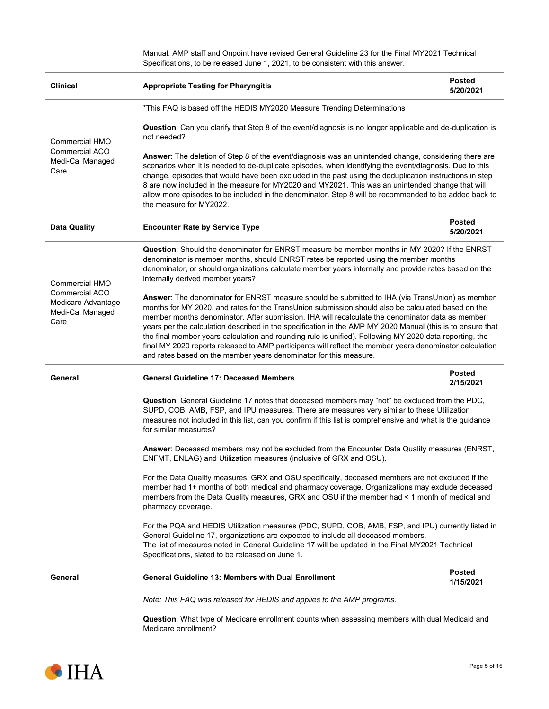|                                                                         | Manual. AMP staff and Onpoint have revised General Guideline 23 for the Final MY2021 Technical<br>Specifications, to be released June 1, 2021, to be consistent with this answer.                                                                                                                                                                                                                                                                                                                                                                                                                                                                                                                                   |                            |  |  |
|-------------------------------------------------------------------------|---------------------------------------------------------------------------------------------------------------------------------------------------------------------------------------------------------------------------------------------------------------------------------------------------------------------------------------------------------------------------------------------------------------------------------------------------------------------------------------------------------------------------------------------------------------------------------------------------------------------------------------------------------------------------------------------------------------------|----------------------------|--|--|
| <b>Clinical</b>                                                         | <b>Appropriate Testing for Pharyngitis</b>                                                                                                                                                                                                                                                                                                                                                                                                                                                                                                                                                                                                                                                                          | <b>Posted</b><br>5/20/2021 |  |  |
|                                                                         | *This FAQ is based off the HEDIS MY2020 Measure Trending Determinations                                                                                                                                                                                                                                                                                                                                                                                                                                                                                                                                                                                                                                             |                            |  |  |
| Commercial HMO                                                          | Question: Can you clarify that Step 8 of the event/diagnosis is no longer applicable and de-duplication is<br>not needed?                                                                                                                                                                                                                                                                                                                                                                                                                                                                                                                                                                                           |                            |  |  |
| Commercial ACO<br>Medi-Cal Managed<br>Care                              | Answer: The deletion of Step 8 of the event/diagnosis was an unintended change, considering there are<br>scenarios when it is needed to de-duplicate episodes, when identifying the event/diagnosis. Due to this<br>change, episodes that would have been excluded in the past using the deduplication instructions in step<br>8 are now included in the measure for MY2020 and MY2021. This was an unintended change that will<br>allow more episodes to be included in the denominator. Step 8 will be recommended to be added back to<br>the measure for MY2022.                                                                                                                                                 |                            |  |  |
| <b>Data Quality</b>                                                     | <b>Posted</b><br><b>Encounter Rate by Service Type</b><br>5/20/2021                                                                                                                                                                                                                                                                                                                                                                                                                                                                                                                                                                                                                                                 |                            |  |  |
| <b>Commercial HMO</b>                                                   | <b>Question:</b> Should the denominator for ENRST measure be member months in MY 2020? If the ENRST<br>denominator is member months, should ENRST rates be reported using the member months<br>denominator, or should organizations calculate member years internally and provide rates based on the<br>internally derived member years?                                                                                                                                                                                                                                                                                                                                                                            |                            |  |  |
| <b>Commercial ACO</b><br>Medicare Advantage<br>Medi-Cal Managed<br>Care | Answer: The denominator for ENRST measure should be submitted to IHA (via TransUnion) as member<br>months for MY 2020, and rates for the TransUnion submission should also be calculated based on the<br>member months denominator. After submission, IHA will recalculate the denominator data as member<br>years per the calculation described in the specification in the AMP MY 2020 Manual (this is to ensure that<br>the final member years calculation and rounding rule is unified). Following MY 2020 data reporting, the<br>final MY 2020 reports released to AMP participants will reflect the member years denominator calculation<br>and rates based on the member years denominator for this measure. |                            |  |  |
| General                                                                 | <b>Posted</b><br><b>General Guideline 17: Deceased Members</b><br>2/15/2021                                                                                                                                                                                                                                                                                                                                                                                                                                                                                                                                                                                                                                         |                            |  |  |
|                                                                         | Question: General Guideline 17 notes that deceased members may "not" be excluded from the PDC,<br>SUPD, COB, AMB, FSP, and IPU measures. There are measures very similar to these Utilization<br>measures not included in this list, can you confirm if this list is comprehensive and what is the guidance<br>for similar measures?                                                                                                                                                                                                                                                                                                                                                                                |                            |  |  |
|                                                                         | Answer: Deceased members may not be excluded from the Encounter Data Quality measures (ENRST,<br>ENFMT, ENLAG) and Utilization measures (inclusive of GRX and OSU).                                                                                                                                                                                                                                                                                                                                                                                                                                                                                                                                                 |                            |  |  |
|                                                                         | For the Data Quality measures, GRX and OSU specifically, deceased members are not excluded if the<br>member had 1+ months of both medical and pharmacy coverage. Organizations may exclude deceased<br>members from the Data Quality measures, GRX and OSU if the member had < 1 month of medical and<br>pharmacy coverage.                                                                                                                                                                                                                                                                                                                                                                                         |                            |  |  |
|                                                                         | For the PQA and HEDIS Utilization measures (PDC, SUPD, COB, AMB, FSP, and IPU) currently listed in<br>General Guideline 17, organizations are expected to include all deceased members.<br>The list of measures noted in General Guideline 17 will be updated in the Final MY2021 Technical<br>Specifications, slated to be released on June 1.                                                                                                                                                                                                                                                                                                                                                                     |                            |  |  |
| General                                                                 | General Guideline 13: Members with Dual Enrollment                                                                                                                                                                                                                                                                                                                                                                                                                                                                                                                                                                                                                                                                  | <b>Posted</b><br>1/15/2021 |  |  |
|                                                                         | Note: This FAQ was released for HEDIS and applies to the AMP programs.                                                                                                                                                                                                                                                                                                                                                                                                                                                                                                                                                                                                                                              |                            |  |  |

**Question**: What type of Medicare enrollment counts when assessing members with dual Medicaid and Medicare enrollment?

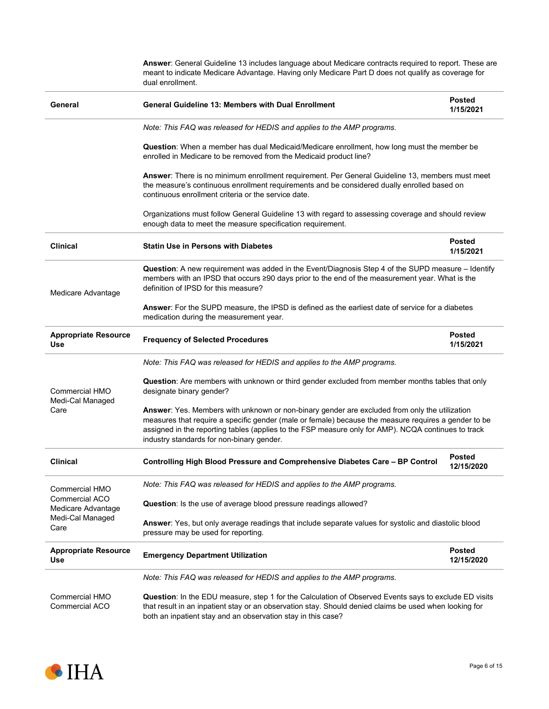|                                                                                                                                                                                                                                                                     | Answer: General Guideline 13 includes language about Medicare contracts required to report. These are<br>meant to indicate Medicare Advantage. Having only Medicare Part D does not qualify as coverage for<br>dual enrollment.                                                                                                                           |                             |  |  |
|---------------------------------------------------------------------------------------------------------------------------------------------------------------------------------------------------------------------------------------------------------------------|-----------------------------------------------------------------------------------------------------------------------------------------------------------------------------------------------------------------------------------------------------------------------------------------------------------------------------------------------------------|-----------------------------|--|--|
| General                                                                                                                                                                                                                                                             | <b>General Guideline 13: Members with Dual Enrollment</b>                                                                                                                                                                                                                                                                                                 | <b>Posted</b><br>1/15/2021  |  |  |
|                                                                                                                                                                                                                                                                     | Note: This FAQ was released for HEDIS and applies to the AMP programs.                                                                                                                                                                                                                                                                                    |                             |  |  |
|                                                                                                                                                                                                                                                                     | Question: When a member has dual Medicaid/Medicare enrollment, how long must the member be<br>enrolled in Medicare to be removed from the Medicaid product line?                                                                                                                                                                                          |                             |  |  |
|                                                                                                                                                                                                                                                                     | Answer: There is no minimum enrollment requirement. Per General Guideline 13, members must meet<br>the measure's continuous enrollment requirements and be considered dually enrolled based on<br>continuous enrollment criteria or the service date.                                                                                                     |                             |  |  |
|                                                                                                                                                                                                                                                                     | Organizations must follow General Guideline 13 with regard to assessing coverage and should review<br>enough data to meet the measure specification requirement.                                                                                                                                                                                          |                             |  |  |
| <b>Clinical</b>                                                                                                                                                                                                                                                     | <b>Statin Use in Persons with Diabetes</b>                                                                                                                                                                                                                                                                                                                | <b>Posted</b><br>1/15/2021  |  |  |
| Question: A new requirement was added in the Event/Diagnosis Step 4 of the SUPD measure - Identify<br>members with an IPSD that occurs ≥90 days prior to the end of the measurement year. What is the<br>definition of IPSD for this measure?<br>Medicare Advantage |                                                                                                                                                                                                                                                                                                                                                           |                             |  |  |
|                                                                                                                                                                                                                                                                     | Answer: For the SUPD measure, the IPSD is defined as the earliest date of service for a diabetes<br>medication during the measurement year.                                                                                                                                                                                                               |                             |  |  |
| <b>Appropriate Resource</b><br><b>Use</b>                                                                                                                                                                                                                           | <b>Frequency of Selected Procedures</b>                                                                                                                                                                                                                                                                                                                   | <b>Posted</b><br>1/15/2021  |  |  |
|                                                                                                                                                                                                                                                                     | Note: This FAQ was released for HEDIS and applies to the AMP programs.                                                                                                                                                                                                                                                                                    |                             |  |  |
| Commercial HMO                                                                                                                                                                                                                                                      | <b>Question:</b> Are members with unknown or third gender excluded from member months tables that only<br>designate binary gender?                                                                                                                                                                                                                        |                             |  |  |
| Medi-Cal Managed<br>Care                                                                                                                                                                                                                                            | Answer: Yes. Members with unknown or non-binary gender are excluded from only the utilization<br>measures that require a specific gender (male or female) because the measure requires a gender to be<br>assigned in the reporting tables (applies to the FSP measure only for AMP). NCQA continues to track<br>industry standards for non-binary gender. |                             |  |  |
| <b>Clinical</b>                                                                                                                                                                                                                                                     | Controlling High Blood Pressure and Comprehensive Diabetes Care - BP Control                                                                                                                                                                                                                                                                              | Posted<br>12/15/2020        |  |  |
| Commercial HMO                                                                                                                                                                                                                                                      | Note: This FAQ was released for HEDIS and applies to the AMP programs.                                                                                                                                                                                                                                                                                    |                             |  |  |
| <b>Commercial ACO</b><br>Medicare Advantage                                                                                                                                                                                                                         | Question: Is the use of average blood pressure readings allowed?                                                                                                                                                                                                                                                                                          |                             |  |  |
| Medi-Cal Managed<br>Care                                                                                                                                                                                                                                            | Answer: Yes, but only average readings that include separate values for systolic and diastolic blood<br>pressure may be used for reporting.                                                                                                                                                                                                               |                             |  |  |
| <b>Appropriate Resource</b><br>Use                                                                                                                                                                                                                                  | <b>Emergency Department Utilization</b>                                                                                                                                                                                                                                                                                                                   | <b>Posted</b><br>12/15/2020 |  |  |
|                                                                                                                                                                                                                                                                     | Note: This FAQ was released for HEDIS and applies to the AMP programs.                                                                                                                                                                                                                                                                                    |                             |  |  |
| Commercial HMO<br>Commercial ACO                                                                                                                                                                                                                                    | Question: In the EDU measure, step 1 for the Calculation of Observed Events says to exclude ED visits<br>that result in an inpatient stay or an observation stay. Should denied claims be used when looking for<br>both an inpatient stay and an observation stay in this case?                                                                           |                             |  |  |

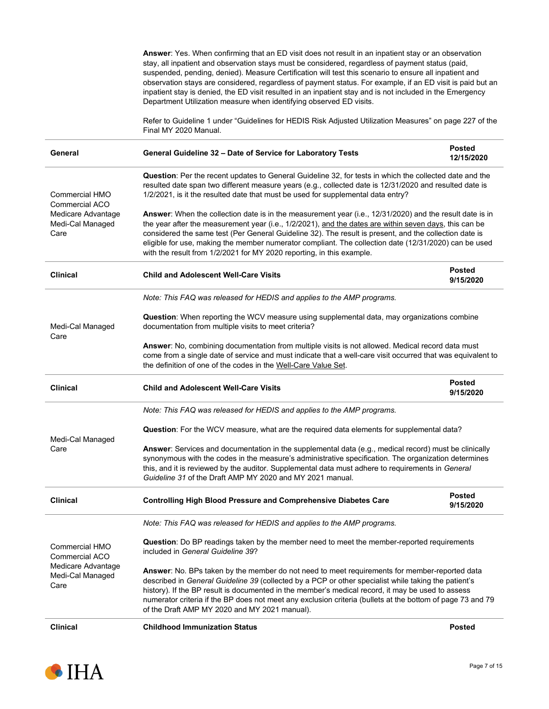|                                                                                           | Answer: Yes. When confirming that an ED visit does not result in an inpatient stay or an observation<br>stay, all inpatient and observation stays must be considered, regardless of payment status (paid,<br>suspended, pending, denied). Measure Certification will test this scenario to ensure all inpatient and<br>observation stays are considered, regardless of payment status. For example, if an ED visit is paid but an<br>inpatient stay is denied, the ED visit resulted in an inpatient stay and is not included in the Emergency<br>Department Utilization measure when identifying observed ED visits. |                             |  |  |  |
|-------------------------------------------------------------------------------------------|-----------------------------------------------------------------------------------------------------------------------------------------------------------------------------------------------------------------------------------------------------------------------------------------------------------------------------------------------------------------------------------------------------------------------------------------------------------------------------------------------------------------------------------------------------------------------------------------------------------------------|-----------------------------|--|--|--|
|                                                                                           | Refer to Guideline 1 under "Guidelines for HEDIS Risk Adjusted Utilization Measures" on page 227 of the<br>Final MY 2020 Manual.                                                                                                                                                                                                                                                                                                                                                                                                                                                                                      |                             |  |  |  |
| General                                                                                   | General Guideline 32 - Date of Service for Laboratory Tests                                                                                                                                                                                                                                                                                                                                                                                                                                                                                                                                                           | <b>Posted</b><br>12/15/2020 |  |  |  |
| <b>Commercial HMO</b><br>Commercial ACO                                                   | Question: Per the recent updates to General Guideline 32, for tests in which the collected date and the<br>resulted date span two different measure years (e.g., collected date is 12/31/2020 and resulted date is<br>1/2/2021, is it the resulted date that must be used for supplemental data entry?                                                                                                                                                                                                                                                                                                                |                             |  |  |  |
| Medicare Advantage<br>Medi-Cal Managed<br>Care                                            | Answer: When the collection date is in the measurement year (i.e., 12/31/2020) and the result date is in<br>the year after the measurement year (i.e., 1/2/2021), and the dates are within seven days, this can be<br>considered the same test (Per General Guideline 32). The result is present, and the collection date is<br>eligible for use, making the member numerator compliant. The collection date (12/31/2020) can be used<br>with the result from 1/2/2021 for MY 2020 reporting, in this example.                                                                                                        |                             |  |  |  |
| <b>Clinical</b>                                                                           | <b>Child and Adolescent Well-Care Visits</b>                                                                                                                                                                                                                                                                                                                                                                                                                                                                                                                                                                          | <b>Posted</b><br>9/15/2020  |  |  |  |
|                                                                                           | Note: This FAQ was released for HEDIS and applies to the AMP programs.                                                                                                                                                                                                                                                                                                                                                                                                                                                                                                                                                |                             |  |  |  |
| Medi-Cal Managed<br>Care                                                                  | Question: When reporting the WCV measure using supplemental data, may organizations combine<br>documentation from multiple visits to meet criteria?<br>Answer: No, combining documentation from multiple visits is not allowed. Medical record data must                                                                                                                                                                                                                                                                                                                                                              |                             |  |  |  |
|                                                                                           | come from a single date of service and must indicate that a well-care visit occurred that was equivalent to<br>the definition of one of the codes in the Well-Care Value Set.                                                                                                                                                                                                                                                                                                                                                                                                                                         |                             |  |  |  |
| <b>Clinical</b>                                                                           | <b>Child and Adolescent Well-Care Visits</b>                                                                                                                                                                                                                                                                                                                                                                                                                                                                                                                                                                          | <b>Posted</b><br>9/15/2020  |  |  |  |
|                                                                                           | Note: This FAQ was released for HEDIS and applies to the AMP programs.                                                                                                                                                                                                                                                                                                                                                                                                                                                                                                                                                |                             |  |  |  |
| Medi-Cal Managed                                                                          | Question: For the WCV measure, what are the required data elements for supplemental data?                                                                                                                                                                                                                                                                                                                                                                                                                                                                                                                             |                             |  |  |  |
| Care                                                                                      | Answer: Services and documentation in the supplemental data (e.g., medical record) must be clinically<br>synonymous with the codes in the measure's administrative specification. The organization determines<br>this, and it is reviewed by the auditor. Supplemental data must adhere to requirements in General<br>Guideline 31 of the Draft AMP MY 2020 and MY 2021 manual.                                                                                                                                                                                                                                       |                             |  |  |  |
| <b>Clinical</b>                                                                           | <b>Controlling High Blood Pressure and Comprehensive Diabetes Care</b>                                                                                                                                                                                                                                                                                                                                                                                                                                                                                                                                                | <b>Posted</b><br>9/15/2020  |  |  |  |
|                                                                                           | Note: This FAQ was released for HEDIS and applies to the AMP programs.                                                                                                                                                                                                                                                                                                                                                                                                                                                                                                                                                |                             |  |  |  |
| <b>Commercial HMO</b><br>Commercial ACO<br>Medicare Advantage<br>Medi-Cal Managed<br>Care | Question: Do BP readings taken by the member need to meet the member-reported requirements<br>included in General Guideline 39?                                                                                                                                                                                                                                                                                                                                                                                                                                                                                       |                             |  |  |  |
|                                                                                           | Answer: No. BPs taken by the member do not need to meet requirements for member-reported data<br>described in General Guideline 39 (collected by a PCP or other specialist while taking the patient's<br>history). If the BP result is documented in the member's medical record, it may be used to assess<br>numerator criteria if the BP does not meet any exclusion criteria (bullets at the bottom of page 73 and 79<br>of the Draft AMP MY 2020 and MY 2021 manual).                                                                                                                                             |                             |  |  |  |
| <b>Clinical</b>                                                                           | <b>Childhood Immunization Status</b>                                                                                                                                                                                                                                                                                                                                                                                                                                                                                                                                                                                  | <b>Posted</b>               |  |  |  |

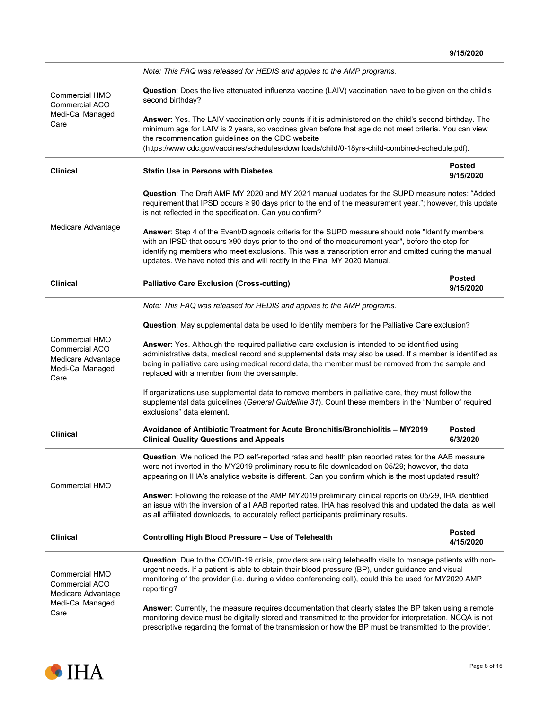|                                                                                                  | Note: This FAQ was released for HEDIS and applies to the AMP programs.                                                                                                                                                                                                                                                                                                                      |                            |  |  |
|--------------------------------------------------------------------------------------------------|---------------------------------------------------------------------------------------------------------------------------------------------------------------------------------------------------------------------------------------------------------------------------------------------------------------------------------------------------------------------------------------------|----------------------------|--|--|
| Commercial HMO<br>Commercial ACO<br>Medi-Cal Managed<br>Care                                     | Question: Does the live attenuated influenza vaccine (LAIV) vaccination have to be given on the child's<br>second birthday?                                                                                                                                                                                                                                                                 |                            |  |  |
|                                                                                                  | Answer: Yes. The LAIV vaccination only counts if it is administered on the child's second birthday. The<br>minimum age for LAIV is 2 years, so vaccines given before that age do not meet criteria. You can view<br>the recommendation guidelines on the CDC website<br>(https://www.cdc.gov/vaccines/schedules/downloads/child/0-18yrs-child-combined-schedule.pdf).                       |                            |  |  |
| <b>Clinical</b>                                                                                  | <b>Statin Use in Persons with Diabetes</b>                                                                                                                                                                                                                                                                                                                                                  | <b>Posted</b><br>9/15/2020 |  |  |
| Medicare Advantage                                                                               | Question: The Draft AMP MY 2020 and MY 2021 manual updates for the SUPD measure notes: "Added<br>requirement that IPSD occurs ≥ 90 days prior to the end of the measurement year."; however, this update<br>is not reflected in the specification. Can you confirm?                                                                                                                         |                            |  |  |
|                                                                                                  | Answer: Step 4 of the Event/Diagnosis criteria for the SUPD measure should note "Identify members<br>with an IPSD that occurs ≥90 days prior to the end of the measurement year", before the step for<br>identifying members who meet exclusions. This was a transcription error and omitted during the manual<br>updates. We have noted this and will rectify in the Final MY 2020 Manual. |                            |  |  |
| <b>Clinical</b>                                                                                  | <b>Palliative Care Exclusion (Cross-cutting)</b>                                                                                                                                                                                                                                                                                                                                            | <b>Posted</b><br>9/15/2020 |  |  |
|                                                                                                  | Note: This FAQ was released for HEDIS and applies to the AMP programs.                                                                                                                                                                                                                                                                                                                      |                            |  |  |
|                                                                                                  | Question: May supplemental data be used to identify members for the Palliative Care exclusion?                                                                                                                                                                                                                                                                                              |                            |  |  |
| Commercial HMO<br><b>Commercial ACO</b><br>Medicare Advantage<br>Medi-Cal Managed<br>Care        | Answer: Yes. Although the required palliative care exclusion is intended to be identified using<br>administrative data, medical record and supplemental data may also be used. If a member is identified as<br>being in palliative care using medical record data, the member must be removed from the sample and<br>replaced with a member from the oversample.                            |                            |  |  |
|                                                                                                  | If organizations use supplemental data to remove members in palliative care, they must follow the<br>supplemental data guidelines (General Guideline 31). Count these members in the "Number of required<br>exclusions" data element.                                                                                                                                                       |                            |  |  |
| <b>Clinical</b>                                                                                  | Avoidance of Antibiotic Treatment for Acute Bronchitis/Bronchiolitis - MY2019<br><b>Clinical Quality Questions and Appeals</b>                                                                                                                                                                                                                                                              | <b>Posted</b><br>6/3/2020  |  |  |
|                                                                                                  | Question: We noticed the PO self-reported rates and health plan reported rates for the AAB measure<br>were not inverted in the MY2019 preliminary results file downloaded on 05/29; however, the data<br>appearing on IHA's analytics website is different. Can you confirm which is the most updated result?                                                                               |                            |  |  |
| <b>Commercial HMO</b>                                                                            | Answer: Following the release of the AMP MY2019 preliminary clinical reports on 05/29, IHA identified<br>an issue with the inversion of all AAB reported rates. IHA has resolved this and updated the data, as well<br>as all affiliated downloads, to accurately reflect participants preliminary results.                                                                                 |                            |  |  |
| <b>Clinical</b>                                                                                  | Controlling High Blood Pressure - Use of Telehealth                                                                                                                                                                                                                                                                                                                                         | <b>Posted</b><br>4/15/2020 |  |  |
| <b>Commercial HMO</b><br><b>Commercial ACO</b><br>Medicare Advantage<br>Medi-Cal Managed<br>Care | Question: Due to the COVID-19 crisis, providers are using telehealth visits to manage patients with non-<br>urgent needs. If a patient is able to obtain their blood pressure (BP), under guidance and visual<br>monitoring of the provider (i.e. during a video conferencing call), could this be used for MY2020 AMP<br>reporting?                                                        |                            |  |  |
|                                                                                                  | Answer: Currently, the measure requires documentation that clearly states the BP taken using a remote<br>monitoring device must be digitally stored and transmitted to the provider for interpretation. NCQA is not<br>prescriptive regarding the format of the transmission or how the BP must be transmitted to the provider.                                                             |                            |  |  |

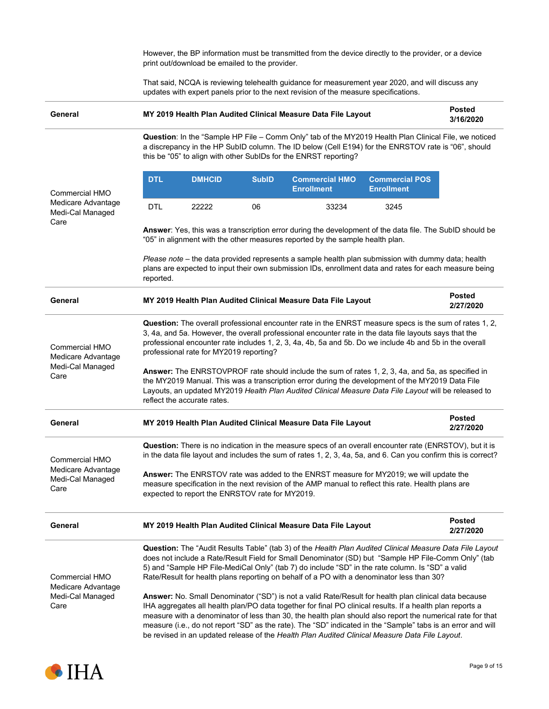However, the BP information must be transmitted from the device directly to the provider, or a device print out/download be emailed to the provider.

That said, NCQA is reviewing telehealth guidance for measurement year 2020, and will discuss any updates with expert panels prior to the next revision of the measure specifications.

| General                                                                 | MY 2019 Health Plan Audited Clinical Measure Data File Layout                                                                                                                                                                                                                                                                                                                                                                                                                                                                                                                                                                                                                                                          |               |              |                                                                                                                                                                                                                                                                                                                                                                                                                                           | <b>Posted</b><br>3/16/2020                 |                            |
|-------------------------------------------------------------------------|------------------------------------------------------------------------------------------------------------------------------------------------------------------------------------------------------------------------------------------------------------------------------------------------------------------------------------------------------------------------------------------------------------------------------------------------------------------------------------------------------------------------------------------------------------------------------------------------------------------------------------------------------------------------------------------------------------------------|---------------|--------------|-------------------------------------------------------------------------------------------------------------------------------------------------------------------------------------------------------------------------------------------------------------------------------------------------------------------------------------------------------------------------------------------------------------------------------------------|--------------------------------------------|----------------------------|
|                                                                         | Question: In the "Sample HP File - Comm Only" tab of the MY2019 Health Plan Clinical File, we noticed<br>a discrepancy in the HP SubID column. The ID below (Cell E194) for the ENRSTOV rate is "06", should<br>this be "05" to align with other SubIDs for the ENRST reporting?                                                                                                                                                                                                                                                                                                                                                                                                                                       |               |              |                                                                                                                                                                                                                                                                                                                                                                                                                                           |                                            |                            |
| <b>Commercial HMO</b>                                                   | <b>DTL</b>                                                                                                                                                                                                                                                                                                                                                                                                                                                                                                                                                                                                                                                                                                             | <b>DMHCID</b> | <b>SubID</b> | <b>Commercial HMO</b><br><b>Enrollment</b>                                                                                                                                                                                                                                                                                                                                                                                                | <b>Commercial POS</b><br><b>Enrollment</b> |                            |
| Medicare Advantage<br>Medi-Cal Managed<br>Care                          | <b>DTL</b>                                                                                                                                                                                                                                                                                                                                                                                                                                                                                                                                                                                                                                                                                                             | 22222         | 06           | 33234                                                                                                                                                                                                                                                                                                                                                                                                                                     | 3245                                       |                            |
|                                                                         |                                                                                                                                                                                                                                                                                                                                                                                                                                                                                                                                                                                                                                                                                                                        |               |              | Answer: Yes, this was a transcription error during the development of the data file. The SubID should be<br>"05" in alignment with the other measures reported by the sample health plan.                                                                                                                                                                                                                                                 |                                            |                            |
|                                                                         | reported.                                                                                                                                                                                                                                                                                                                                                                                                                                                                                                                                                                                                                                                                                                              |               |              | Please note – the data provided represents a sample health plan submission with dummy data; health<br>plans are expected to input their own submission IDs, enrollment data and rates for each measure being                                                                                                                                                                                                                              |                                            |                            |
| General                                                                 |                                                                                                                                                                                                                                                                                                                                                                                                                                                                                                                                                                                                                                                                                                                        |               |              | MY 2019 Health Plan Audited Clinical Measure Data File Layout                                                                                                                                                                                                                                                                                                                                                                             |                                            | <b>Posted</b><br>2/27/2020 |
| <b>Commercial HMO</b><br>Medicare Advantage<br>Medi-Cal Managed<br>Care | Question: The overall professional encounter rate in the ENRST measure specs is the sum of rates 1, 2,<br>3, 4a, and 5a. However, the overall professional encounter rate in the data file layouts says that the<br>professional encounter rate includes 1, 2, 3, 4a, 4b, 5a and 5b. Do we include 4b and 5b in the overall<br>professional rate for MY2019 reporting?<br>Answer: The ENRSTOVPROF rate should include the sum of rates 1, 2, 3, 4a, and 5a, as specified in<br>the MY2019 Manual. This was a transcription error during the development of the MY2019 Data File<br>Layouts, an updated MY2019 Health Plan Audited Clinical Measure Data File Layout will be released to<br>reflect the accurate rates. |               |              |                                                                                                                                                                                                                                                                                                                                                                                                                                           |                                            |                            |
| General                                                                 |                                                                                                                                                                                                                                                                                                                                                                                                                                                                                                                                                                                                                                                                                                                        |               |              | MY 2019 Health Plan Audited Clinical Measure Data File Layout                                                                                                                                                                                                                                                                                                                                                                             |                                            | <b>Posted</b><br>2/27/2020 |
| <b>Commercial HMO</b>                                                   | Question: There is no indication in the measure specs of an overall encounter rate (ENRSTOV), but it is<br>in the data file layout and includes the sum of rates 1, 2, 3, 4a, 5a, and 6. Can you confirm this is correct?                                                                                                                                                                                                                                                                                                                                                                                                                                                                                              |               |              |                                                                                                                                                                                                                                                                                                                                                                                                                                           |                                            |                            |
| Medicare Advantage<br>Medi-Cal Managed<br>Care                          | Answer: The ENRSTOV rate was added to the ENRST measure for MY2019; we will update the<br>measure specification in the next revision of the AMP manual to reflect this rate. Health plans are<br>expected to report the ENRSTOV rate for MY2019.                                                                                                                                                                                                                                                                                                                                                                                                                                                                       |               |              |                                                                                                                                                                                                                                                                                                                                                                                                                                           |                                            |                            |
| General                                                                 |                                                                                                                                                                                                                                                                                                                                                                                                                                                                                                                                                                                                                                                                                                                        |               |              | MY 2019 Health Plan Audited Clinical Measure Data File Layout                                                                                                                                                                                                                                                                                                                                                                             |                                            | <b>Posted</b><br>2/27/2020 |
| <b>Commercial HMO</b><br>Medicare Advantage<br>Medi-Cal Managed<br>Care | Question: The "Audit Results Table" (tab 3) of the Health Plan Audited Clinical Measure Data File Layout<br>does not include a Rate/Result Field for Small Denominator (SD) but "Sample HP File-Comm Only" (tab<br>5) and "Sample HP File-MediCal Only" (tab 7) do include "SD" in the rate column. Is "SD" a valid<br>Rate/Result for health plans reporting on behalf of a PO with a denominator less than 30?<br>Answer: No. Small Denominator ("SD") is not a valid Rate/Result for health plan clinical data because                                                                                                                                                                                              |               |              |                                                                                                                                                                                                                                                                                                                                                                                                                                           |                                            |                            |
|                                                                         |                                                                                                                                                                                                                                                                                                                                                                                                                                                                                                                                                                                                                                                                                                                        |               |              | IHA aggregates all health plan/PO data together for final PO clinical results. If a health plan reports a<br>measure with a denominator of less than 30, the health plan should also report the numerical rate for that<br>measure (i.e., do not report "SD" as the rate). The "SD" indicated in the "Sample" tabs is an error and will<br>be revised in an updated release of the Health Plan Audited Clinical Measure Data File Layout. |                                            |                            |

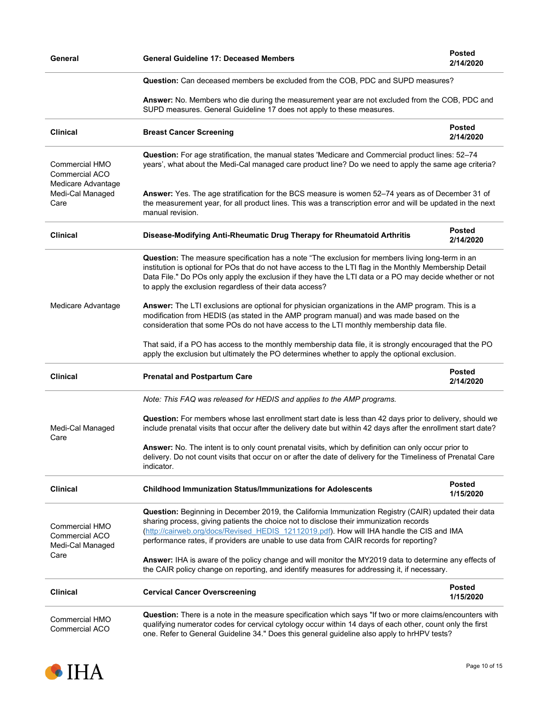| General                                                             | <b>General Guideline 17: Deceased Members</b>                                                                                                                                                                                                                                                                                                                                          | <b>Posted</b><br>2/14/2020                                                                                                                                                                                                                                                                                              |  |  |
|---------------------------------------------------------------------|----------------------------------------------------------------------------------------------------------------------------------------------------------------------------------------------------------------------------------------------------------------------------------------------------------------------------------------------------------------------------------------|-------------------------------------------------------------------------------------------------------------------------------------------------------------------------------------------------------------------------------------------------------------------------------------------------------------------------|--|--|
|                                                                     | Question: Can deceased members be excluded from the COB, PDC and SUPD measures?                                                                                                                                                                                                                                                                                                        |                                                                                                                                                                                                                                                                                                                         |  |  |
|                                                                     | Answer: No. Members who die during the measurement year are not excluded from the COB, PDC and<br>SUPD measures. General Guideline 17 does not apply to these measures.                                                                                                                                                                                                                |                                                                                                                                                                                                                                                                                                                         |  |  |
| <b>Clinical</b>                                                     | <b>Breast Cancer Screening</b>                                                                                                                                                                                                                                                                                                                                                         | <b>Posted</b><br>2/14/2020                                                                                                                                                                                                                                                                                              |  |  |
| Commercial HMO<br><b>Commercial ACO</b><br>Medicare Advantage       | Question: For age stratification, the manual states 'Medicare and Commercial product lines: 52-74<br>years', what about the Medi-Cal managed care product line? Do we need to apply the same age criteria?                                                                                                                                                                             |                                                                                                                                                                                                                                                                                                                         |  |  |
| Medi-Cal Managed<br>Care                                            | Answer: Yes. The age stratification for the BCS measure is women 52-74 years as of December 31 of<br>the measurement year, for all product lines. This was a transcription error and will be updated in the next<br>manual revision.                                                                                                                                                   |                                                                                                                                                                                                                                                                                                                         |  |  |
| <b>Clinical</b>                                                     | Disease-Modifying Anti-Rheumatic Drug Therapy for Rheumatoid Arthritis                                                                                                                                                                                                                                                                                                                 | <b>Posted</b><br>2/14/2020                                                                                                                                                                                                                                                                                              |  |  |
| Medicare Advantage                                                  | to apply the exclusion regardless of their data access?                                                                                                                                                                                                                                                                                                                                | Question: The measure specification has a note "The exclusion for members living long-term in an<br>institution is optional for POs that do not have access to the LTI flag in the Monthly Membership Detail<br>Data File." Do POs only apply the exclusion if they have the LTI data or a PO may decide whether or not |  |  |
|                                                                     | Answer: The LTI exclusions are optional for physician organizations in the AMP program. This is a<br>modification from HEDIS (as stated in the AMP program manual) and was made based on the<br>consideration that some POs do not have access to the LTI monthly membership data file.                                                                                                |                                                                                                                                                                                                                                                                                                                         |  |  |
|                                                                     | That said, if a PO has access to the monthly membership data file, it is strongly encouraged that the PO<br>apply the exclusion but ultimately the PO determines whether to apply the optional exclusion.                                                                                                                                                                              |                                                                                                                                                                                                                                                                                                                         |  |  |
| <b>Clinical</b>                                                     | <b>Prenatal and Postpartum Care</b>                                                                                                                                                                                                                                                                                                                                                    | <b>Posted</b><br>2/14/2020                                                                                                                                                                                                                                                                                              |  |  |
|                                                                     | Note: This FAQ was released for HEDIS and applies to the AMP programs.                                                                                                                                                                                                                                                                                                                 |                                                                                                                                                                                                                                                                                                                         |  |  |
| Medi-Cal Managed<br>Care                                            | Question: For members whose last enrollment start date is less than 42 days prior to delivery, should we<br>include prenatal visits that occur after the delivery date but within 42 days after the enrollment start date?                                                                                                                                                             |                                                                                                                                                                                                                                                                                                                         |  |  |
|                                                                     | Answer: No. The intent is to only count prenatal visits, which by definition can only occur prior to<br>delivery. Do not count visits that occur on or after the date of delivery for the Timeliness of Prenatal Care<br>indicator.                                                                                                                                                    |                                                                                                                                                                                                                                                                                                                         |  |  |
| <b>Clinical</b>                                                     | <b>Childhood Immunization Status/Immunizations for Adolescents</b>                                                                                                                                                                                                                                                                                                                     | <b>Posted</b><br>1/15/2020                                                                                                                                                                                                                                                                                              |  |  |
| <b>Commercial HMO</b><br>Commercial ACO<br>Medi-Cal Managed<br>Care | Question: Beginning in December 2019, the California Immunization Registry (CAIR) updated their data<br>sharing process, giving patients the choice not to disclose their immunization records<br>(http://cairweb.org/docs/Revised HEDIS 12112019.pdf). How will IHA handle the CIS and IMA<br>performance rates, if providers are unable to use data from CAIR records for reporting? |                                                                                                                                                                                                                                                                                                                         |  |  |
|                                                                     | Answer: IHA is aware of the policy change and will monitor the MY2019 data to determine any effects of<br>the CAIR policy change on reporting, and identify measures for addressing it, if necessary.                                                                                                                                                                                  |                                                                                                                                                                                                                                                                                                                         |  |  |
| <b>Clinical</b>                                                     | <b>Cervical Cancer Overscreening</b>                                                                                                                                                                                                                                                                                                                                                   | <b>Posted</b><br>1/15/2020                                                                                                                                                                                                                                                                                              |  |  |
| <b>Commercial HMO</b><br>Commercial ACO                             | Question: There is a note in the measure specification which says "If two or more claims/encounters with<br>qualifying numerator codes for cervical cytology occur within 14 days of each other, count only the first<br>one. Refer to General Guideline 34." Does this general guideline also apply to hrHPV tests?                                                                   |                                                                                                                                                                                                                                                                                                                         |  |  |

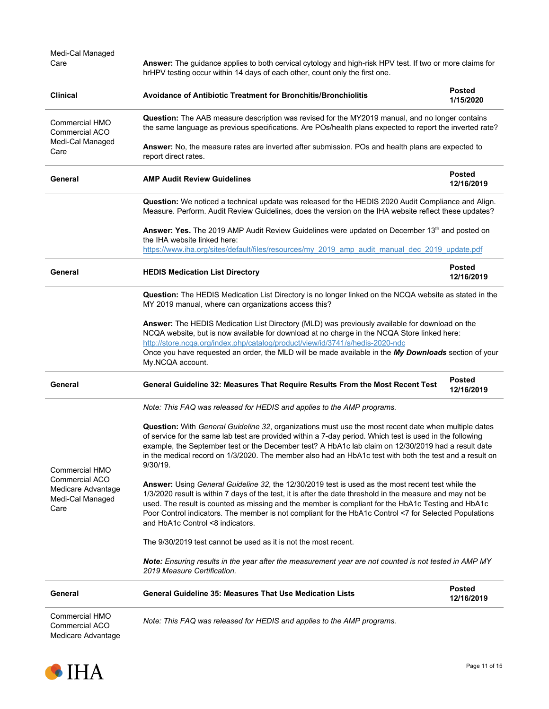| Medi-Cal Managed<br>Care                                                                  | Answer: The guidance applies to both cervical cytology and high-risk HPV test. If two or more claims for<br>hrHPV testing occur within 14 days of each other, count only the first one.                                                                                                                                                                                                                                                                             |                             |  |
|-------------------------------------------------------------------------------------------|---------------------------------------------------------------------------------------------------------------------------------------------------------------------------------------------------------------------------------------------------------------------------------------------------------------------------------------------------------------------------------------------------------------------------------------------------------------------|-----------------------------|--|
| <b>Clinical</b>                                                                           | <b>Avoidance of Antibiotic Treatment for Bronchitis/Bronchiolitis</b>                                                                                                                                                                                                                                                                                                                                                                                               | <b>Posted</b><br>1/15/2020  |  |
| Commercial HMO<br><b>Commercial ACO</b>                                                   | <b>Question:</b> The AAB measure description was revised for the MY2019 manual, and no longer contains<br>the same language as previous specifications. Are POs/health plans expected to report the inverted rate?                                                                                                                                                                                                                                                  |                             |  |
| Medi-Cal Managed<br>Care                                                                  | Answer: No, the measure rates are inverted after submission. POs and health plans are expected to<br>report direct rates.                                                                                                                                                                                                                                                                                                                                           |                             |  |
| General                                                                                   | <b>AMP Audit Review Guidelines</b>                                                                                                                                                                                                                                                                                                                                                                                                                                  | <b>Posted</b><br>12/16/2019 |  |
|                                                                                           | Question: We noticed a technical update was released for the HEDIS 2020 Audit Compliance and Align.<br>Measure. Perform. Audit Review Guidelines, does the version on the IHA website reflect these updates?                                                                                                                                                                                                                                                        |                             |  |
|                                                                                           | Answer: Yes. The 2019 AMP Audit Review Guidelines were updated on December 13th and posted on<br>the IHA website linked here:<br>https://www.iha.org/sites/default/files/resources/my 2019 amp audit manual dec 2019 update.pdf                                                                                                                                                                                                                                     |                             |  |
| General                                                                                   | <b>HEDIS Medication List Directory</b>                                                                                                                                                                                                                                                                                                                                                                                                                              | Posted<br>12/16/2019        |  |
|                                                                                           | Question: The HEDIS Medication List Directory is no longer linked on the NCQA website as stated in the<br>MY 2019 manual, where can organizations access this?                                                                                                                                                                                                                                                                                                      |                             |  |
|                                                                                           | Answer: The HEDIS Medication List Directory (MLD) was previously available for download on the<br>NCQA website, but is now available for download at no charge in the NCQA Store linked here:<br>http://store.ncqa.org/index.php/catalog/product/view/id/3741/s/hedis-2020-ndc<br>Once you have requested an order, the MLD will be made available in the My Downloads section of your<br>My.NCQA account.                                                          |                             |  |
| General                                                                                   | General Guideline 32: Measures That Require Results From the Most Recent Test                                                                                                                                                                                                                                                                                                                                                                                       | Posted<br>12/16/2019        |  |
|                                                                                           | Note: This FAQ was released for HEDIS and applies to the AMP programs.                                                                                                                                                                                                                                                                                                                                                                                              |                             |  |
| Commercial HMO<br><b>Commercial ACO</b><br>Medicare Advantage<br>Medi-Cal Managed<br>Care | <b>Question:</b> With General Guideline 32, organizations must use the most recent date when multiple dates<br>of service for the same lab test are provided within a 7-day period. Which test is used in the following<br>example, the September test or the December test? A HbA1c lab claim on 12/30/2019 had a result date<br>in the medical record on 1/3/2020. The member also had an HbA1c test with both the test and a result on<br>$9/30/19$ .            |                             |  |
|                                                                                           | Answer: Using General Guideline 32, the 12/30/2019 test is used as the most recent test while the<br>1/3/2020 result is within 7 days of the test, it is after the date threshold in the measure and may not be<br>used. The result is counted as missing and the member is compliant for the HbA1c Testing and HbA1c<br>Poor Control indicators. The member is not compliant for the HbA1c Control <7 for Selected Populations<br>and HbA1c Control <8 indicators. |                             |  |
|                                                                                           | The 9/30/2019 test cannot be used as it is not the most recent.                                                                                                                                                                                                                                                                                                                                                                                                     |                             |  |
|                                                                                           | Note: Ensuring results in the year after the measurement year are not counted is not tested in AMP MY<br>2019 Measure Certification.                                                                                                                                                                                                                                                                                                                                |                             |  |
| General                                                                                   | General Guideline 35: Measures That Use Medication Lists                                                                                                                                                                                                                                                                                                                                                                                                            | <b>Posted</b><br>12/16/2019 |  |
| Commercial HMO<br>Commercial ACO<br>Medicare Advantage                                    | Note: This FAQ was released for HEDIS and applies to the AMP programs.                                                                                                                                                                                                                                                                                                                                                                                              |                             |  |

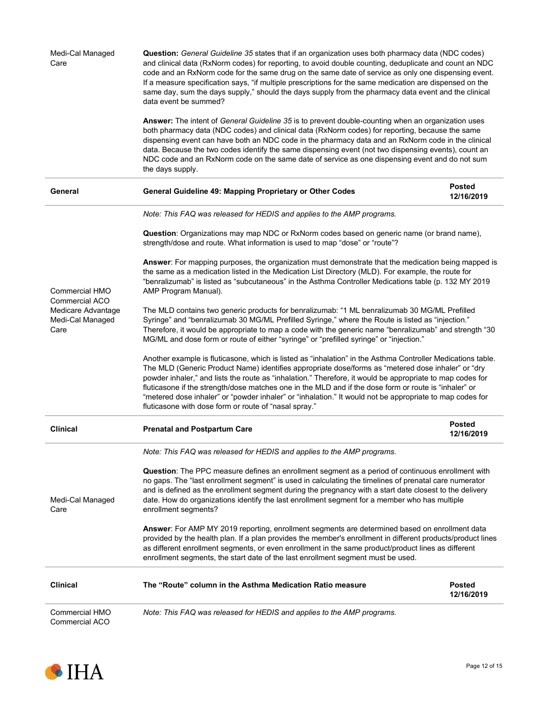| Medi-Cal Managed<br>Care                                                                  | <b>Question:</b> General Guideline 35 states that if an organization uses both pharmacy data (NDC codes)<br>and clinical data (RxNorm codes) for reporting, to avoid double counting, deduplicate and count an NDC<br>code and an RxNorm code for the same drug on the same date of service as only one dispensing event.<br>If a measure specification says, "if multiple prescriptions for the same medication are dispensed on the<br>same day, sum the days supply," should the days supply from the pharmacy data event and the clinical<br>data event be summed?                                       |                             |  |  |
|-------------------------------------------------------------------------------------------|--------------------------------------------------------------------------------------------------------------------------------------------------------------------------------------------------------------------------------------------------------------------------------------------------------------------------------------------------------------------------------------------------------------------------------------------------------------------------------------------------------------------------------------------------------------------------------------------------------------|-----------------------------|--|--|
|                                                                                           | Answer: The intent of General Guideline 35 is to prevent double-counting when an organization uses<br>both pharmacy data (NDC codes) and clinical data (RxNorm codes) for reporting, because the same<br>dispensing event can have both an NDC code in the pharmacy data and an RxNorm code in the clinical<br>data. Because the two codes identify the same dispensing event (not two dispensing events), count an<br>NDC code and an RxNorm code on the same date of service as one dispensing event and do not sum<br>the days supply.                                                                    |                             |  |  |
| General                                                                                   | General Guideline 49: Mapping Proprietary or Other Codes                                                                                                                                                                                                                                                                                                                                                                                                                                                                                                                                                     | <b>Posted</b><br>12/16/2019 |  |  |
|                                                                                           | Note: This FAQ was released for HEDIS and applies to the AMP programs.                                                                                                                                                                                                                                                                                                                                                                                                                                                                                                                                       |                             |  |  |
|                                                                                           | <b>Question:</b> Organizations may map NDC or RxNorm codes based on generic name (or brand name),<br>strength/dose and route. What information is used to map "dose" or "route"?                                                                                                                                                                                                                                                                                                                                                                                                                             |                             |  |  |
| Commercial HMO<br><b>Commercial ACO</b><br>Medicare Advantage<br>Medi-Cal Managed<br>Care | Answer: For mapping purposes, the organization must demonstrate that the medication being mapped is<br>the same as a medication listed in the Medication List Directory (MLD). For example, the route for<br>"benralizumab" is listed as "subcutaneous" in the Asthma Controller Medications table (p. 132 MY 2019<br>AMP Program Manual).                                                                                                                                                                                                                                                                   |                             |  |  |
|                                                                                           | The MLD contains two generic products for benralizumab: "1 ML benralizumab 30 MG/ML Prefilled<br>Syringe" and "benralizumab 30 MG/ML Prefilled Syringe," where the Route is listed as "injection."<br>Therefore, it would be appropriate to map a code with the generic name "benralizumab" and strength "30<br>MG/ML and dose form or route of either "syringe" or "prefilled syringe" or "injection."                                                                                                                                                                                                      |                             |  |  |
|                                                                                           | Another example is fluticasone, which is listed as "inhalation" in the Asthma Controller Medications table.<br>The MLD (Generic Product Name) identifies appropriate dose/forms as "metered dose inhaler" or "dry<br>powder inhaler," and lists the route as "inhalation." Therefore, it would be appropriate to map codes for<br>fluticasone if the strength/dose matches one in the MLD and if the dose form or route is "inhaler" or<br>"metered dose inhaler" or "powder inhaler" or "inhalation." It would not be appropriate to map codes for<br>fluticasone with dose form or route of "nasal spray." |                             |  |  |
| <b>Clinical</b>                                                                           | <b>Prenatal and Postpartum Care</b>                                                                                                                                                                                                                                                                                                                                                                                                                                                                                                                                                                          | <b>Posted</b><br>12/16/2019 |  |  |
|                                                                                           | Note: This FAQ was released for HEDIS and applies to the AMP programs.                                                                                                                                                                                                                                                                                                                                                                                                                                                                                                                                       |                             |  |  |
| Medi-Cal Managed<br>Care                                                                  | Question: The PPC measure defines an enrollment segment as a period of continuous enrollment with<br>no gaps. The "last enrollment segment" is used in calculating the timelines of prenatal care numerator<br>and is defined as the enrollment segment during the pregnancy with a start date closest to the delivery<br>date. How do organizations identify the last enrollment segment for a member who has multiple<br>enrollment segments?                                                                                                                                                              |                             |  |  |
|                                                                                           | Answer: For AMP MY 2019 reporting, enrollment segments are determined based on enrollment data<br>provided by the health plan. If a plan provides the member's enrollment in different products/product lines<br>as different enrollment segments, or even enrollment in the same product/product lines as different<br>enrollment segments, the start date of the last enrollment segment must be used.                                                                                                                                                                                                     |                             |  |  |
| <b>Clinical</b>                                                                           | The "Route" column in the Asthma Medication Ratio measure                                                                                                                                                                                                                                                                                                                                                                                                                                                                                                                                                    | <b>Posted</b><br>12/16/2019 |  |  |
| <b>Commercial HMO</b><br><b>Commercial ACO</b>                                            | Note: This FAQ was released for HEDIS and applies to the AMP programs.                                                                                                                                                                                                                                                                                                                                                                                                                                                                                                                                       |                             |  |  |

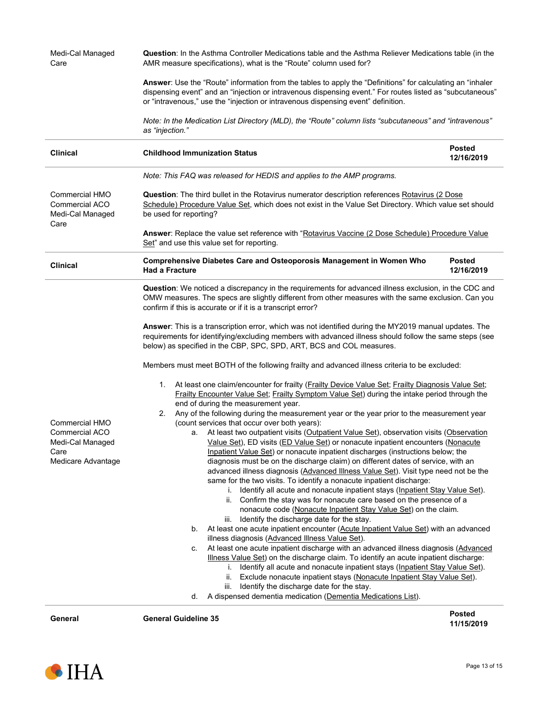|                                                                                           | "Note: In the Medication List Directory (MLD), the "Route" column lists "subcutaneous" and "intravenous                                                                                                                                                                                                                                                                                                                                                                                                                                                                                                                                                                                                                                                                                                                                                                                                                                                                                                                                                                                                                                                                                                                                                                                                                                                                                                                                                                                                                                                                                                                                                                                                                                                                                                                                                                                                                                                                                                                                                                                                                                                                                                                                                                                                                                                                                                                                                       |                             |  |  |
|-------------------------------------------------------------------------------------------|---------------------------------------------------------------------------------------------------------------------------------------------------------------------------------------------------------------------------------------------------------------------------------------------------------------------------------------------------------------------------------------------------------------------------------------------------------------------------------------------------------------------------------------------------------------------------------------------------------------------------------------------------------------------------------------------------------------------------------------------------------------------------------------------------------------------------------------------------------------------------------------------------------------------------------------------------------------------------------------------------------------------------------------------------------------------------------------------------------------------------------------------------------------------------------------------------------------------------------------------------------------------------------------------------------------------------------------------------------------------------------------------------------------------------------------------------------------------------------------------------------------------------------------------------------------------------------------------------------------------------------------------------------------------------------------------------------------------------------------------------------------------------------------------------------------------------------------------------------------------------------------------------------------------------------------------------------------------------------------------------------------------------------------------------------------------------------------------------------------------------------------------------------------------------------------------------------------------------------------------------------------------------------------------------------------------------------------------------------------------------------------------------------------------------------------------------------------|-----------------------------|--|--|
|                                                                                           | as "injection."                                                                                                                                                                                                                                                                                                                                                                                                                                                                                                                                                                                                                                                                                                                                                                                                                                                                                                                                                                                                                                                                                                                                                                                                                                                                                                                                                                                                                                                                                                                                                                                                                                                                                                                                                                                                                                                                                                                                                                                                                                                                                                                                                                                                                                                                                                                                                                                                                                               |                             |  |  |
| <b>Clinical</b>                                                                           | <b>Childhood Immunization Status</b>                                                                                                                                                                                                                                                                                                                                                                                                                                                                                                                                                                                                                                                                                                                                                                                                                                                                                                                                                                                                                                                                                                                                                                                                                                                                                                                                                                                                                                                                                                                                                                                                                                                                                                                                                                                                                                                                                                                                                                                                                                                                                                                                                                                                                                                                                                                                                                                                                          | <b>Posted</b><br>12/16/2019 |  |  |
|                                                                                           | Note: This FAQ was released for HEDIS and applies to the AMP programs.                                                                                                                                                                                                                                                                                                                                                                                                                                                                                                                                                                                                                                                                                                                                                                                                                                                                                                                                                                                                                                                                                                                                                                                                                                                                                                                                                                                                                                                                                                                                                                                                                                                                                                                                                                                                                                                                                                                                                                                                                                                                                                                                                                                                                                                                                                                                                                                        |                             |  |  |
| Commercial HMO<br><b>Commercial ACO</b><br>Medi-Cal Managed<br>Care                       | <b>Question:</b> The third bullet in the Rotavirus numerator description references Rotavirus (2 Dose<br>Schedule) Procedure Value Set, which does not exist in the Value Set Directory. Which value set should<br>be used for reporting?                                                                                                                                                                                                                                                                                                                                                                                                                                                                                                                                                                                                                                                                                                                                                                                                                                                                                                                                                                                                                                                                                                                                                                                                                                                                                                                                                                                                                                                                                                                                                                                                                                                                                                                                                                                                                                                                                                                                                                                                                                                                                                                                                                                                                     |                             |  |  |
|                                                                                           | Answer: Replace the value set reference with "Rotavirus Vaccine (2 Dose Schedule) Procedure Value<br>Set" and use this value set for reporting.                                                                                                                                                                                                                                                                                                                                                                                                                                                                                                                                                                                                                                                                                                                                                                                                                                                                                                                                                                                                                                                                                                                                                                                                                                                                                                                                                                                                                                                                                                                                                                                                                                                                                                                                                                                                                                                                                                                                                                                                                                                                                                                                                                                                                                                                                                               |                             |  |  |
| <b>Clinical</b>                                                                           | <b>Comprehensive Diabetes Care and Osteoporosis Management in Women Who</b><br><b>Had a Fracture</b>                                                                                                                                                                                                                                                                                                                                                                                                                                                                                                                                                                                                                                                                                                                                                                                                                                                                                                                                                                                                                                                                                                                                                                                                                                                                                                                                                                                                                                                                                                                                                                                                                                                                                                                                                                                                                                                                                                                                                                                                                                                                                                                                                                                                                                                                                                                                                          | <b>Posted</b><br>12/16/2019 |  |  |
| Commercial HMO<br><b>Commercial ACO</b><br>Medi-Cal Managed<br>Care<br>Medicare Advantage | Question: We noticed a discrepancy in the requirements for advanced illness exclusion, in the CDC and<br>OMW measures. The specs are slightly different from other measures with the same exclusion. Can you<br>confirm if this is accurate or if it is a transcript error?<br>Answer: This is a transcription error, which was not identified during the MY2019 manual updates. The<br>requirements for identifying/excluding members with advanced illness should follow the same steps (see<br>below) as specified in the CBP, SPC, SPD, ART, BCS and COL measures.<br>Members must meet BOTH of the following frailty and advanced illness criteria to be excluded:<br>At least one claim/encounter for frailty (Frailty Device Value Set; Frailty Diagnosis Value Set;<br>1.<br>Frailty Encounter Value Set; Frailty Symptom Value Set) during the intake period through the<br>end of during the measurement year.<br>Any of the following during the measurement year or the year prior to the measurement year<br>2.<br>(count services that occur over both years):<br>At least two outpatient visits (Outpatient Value Set), observation visits (Observation<br>а.<br>Value Set), ED visits (ED Value Set) or nonacute inpatient encounters (Nonacute<br>Inpatient Value Set) or nonacute inpatient discharges (instructions below; the<br>diagnosis must be on the discharge claim) on different dates of service, with an<br>advanced illness diagnosis (Advanced Illness Value Set). Visit type need not be the<br>same for the two visits. To identify a nonacute inpatient discharge:<br>Identify all acute and nonacute inpatient stays (Inpatient Stay Value Set).<br>ii. Confirm the stay was for nonacute care based on the presence of a<br>nonacute code (Nonacute Inpatient Stay Value Set) on the claim.<br>Identify the discharge date for the stay.<br>iii.<br>At least one acute inpatient encounter (Acute Inpatient Value Set) with an advanced<br>b.<br>illness diagnosis (Advanced Illness Value Set).<br>At least one acute inpatient discharge with an advanced illness diagnosis (Advanced<br>c.<br>Illness Value Set) on the discharge claim. To identify an acute inpatient discharge:<br>Identify all acute and nonacute inpatient stays (Inpatient Stay Value Set).<br>$\mathbf{L}$<br>Exclude nonacute inpatient stays (Nonacute Inpatient Stay Value Set).<br>ii.<br>Identify the discharge date for the stay.<br>iii. |                             |  |  |
|                                                                                           |                                                                                                                                                                                                                                                                                                                                                                                                                                                                                                                                                                                                                                                                                                                                                                                                                                                                                                                                                                                                                                                                                                                                                                                                                                                                                                                                                                                                                                                                                                                                                                                                                                                                                                                                                                                                                                                                                                                                                                                                                                                                                                                                                                                                                                                                                                                                                                                                                                                               |                             |  |  |

**11/15/2019**

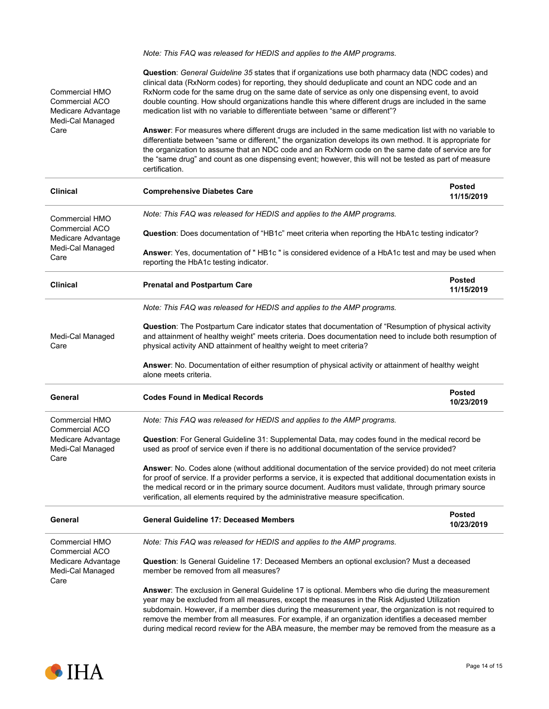Commercial HMO Commercial ACO Medicare Advantage Medi-Cal Managed Care *Note: This FAQ was released for HEDIS and applies to the AMP programs.* **Question**: *General Guideline 35* states that if organizations use both pharmacy data (NDC codes) and clinical data (RxNorm codes) for reporting, they should deduplicate and count an NDC code and an RxNorm code for the same drug on the same date of service as only one dispensing event, to avoid double counting. How should organizations handle this where different drugs are included in the same medication list with no variable to differentiate between "same or different"? **Answer**: For measures where different drugs are included in the same medication list with no variable to differentiate between "same or different," the organization develops its own method. It is appropriate for the organization to assume that an NDC code and an RxNorm code on the same date of service are for the "same drug" and count as one dispensing event; however, this will not be tested as part of measure certification. **Clinical Comprehensive Diabetes Care Posted 11/15/2019** Commercial HMO Commercial ACO Medicare Advantage Medi-Cal Managed Care *Note: This FAQ was released for HEDIS and applies to the AMP programs.* **Question**: Does documentation of "HB1c" meet criteria when reporting the HbA1c testing indicator? **Answer**: Yes, documentation of " HB1c " is considered evidence of a HbA1c test and may be used when reporting the HbA1c testing indicator. **Clinical Prenatal and Postpartum Care Posted 11/15/2019** Medi-Cal Managed Care *Note: This FAQ was released for HEDIS and applies to the AMP programs.* **Question**: The Postpartum Care indicator states that documentation of "Resumption of physical activity and attainment of healthy weight" meets criteria. Does documentation need to include both resumption of physical activity AND attainment of healthy weight to meet criteria? **Answer**: No. Documentation of either resumption of physical activity or attainment of healthy weight alone meets criteria. **General Codes Found in Medical Records Posted 10/23/2019** Commercial HMO Commercial ACO Medicare Advantage Medi-Cal Managed Care *Note: This FAQ was released for HEDIS and applies to the AMP programs.* **Question**: For General Guideline 31: Supplemental Data, may codes found in the medical record be used as proof of service even if there is no additional documentation of the service provided? **Answer**: No. Codes alone (without additional documentation of the service provided) do not meet criteria for proof of service. If a provider performs a service, it is expected that additional documentation exists in the medical record or in the primary source document. Auditors must validate, through primary source verification, all elements required by the administrative measure specification. **General General Guideline 17: Deceased Members Posted 10/23/2019** Commercial HMO Commercial ACO Medicare Advantage Medi-Cal Managed Care *Note: This FAQ was released for HEDIS and applies to the AMP programs.* **Question**: Is General Guideline 17: Deceased Members an optional exclusion? Must a deceased member be removed from all measures? **Answer**: The exclusion in General Guideline 17 is optional. Members who die during the measurement year may be excluded from all measures, except the measures in the Risk Adjusted Utilization subdomain. However, if a member dies during the measurement year, the organization is not required to remove the member from all measures. For example, if an organization identifies a deceased member

during medical record review for the ABA measure, the member may be removed from the measure as a